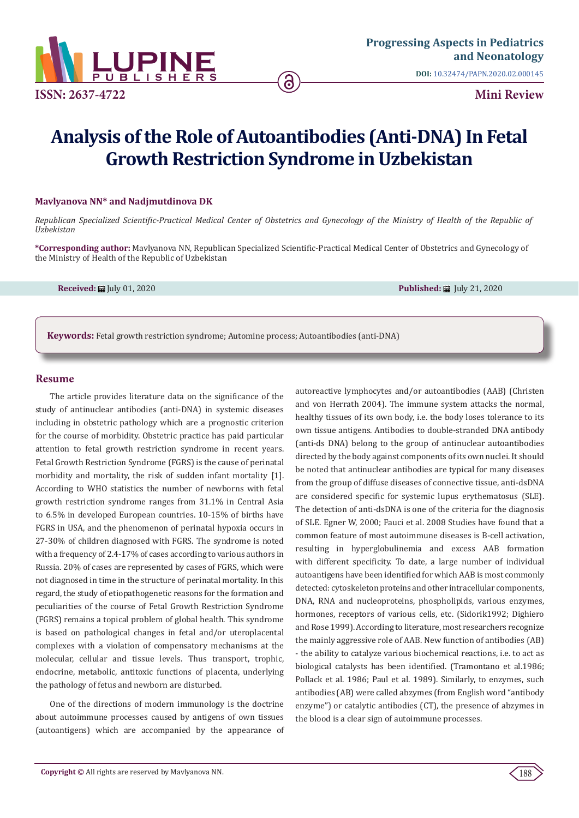

# **Analysis of the Role of Autoantibodies (Anti-DNA) In Fetal Growth Restriction Syndrome in Uzbekistan**

ခ

#### **Mavlyanova NN\* and Nadjmutdinova DK**

*Republican Specialized Scientific-Practical Medical Center of Obstetrics and Gynecology of the Ministry of Health of the Republic of Uzbekistan*

**\*Corresponding author:** Mavlyanova NN, Republican Specialized Scientific-Practical Medical Center of Obstetrics and Gynecology of the Ministry of Health of the Republic of Uzbekistan

**Received: iii** July 01, 2020 **Published: iii** July 21, 2020

**Keywords:** Fetal growth restriction syndrome; Automine process; Autoantibodies (anti-DNA)

## **Resume**

The article provides literature data on the significance of the study of antinuclear antibodies (anti-DNA) in systemic diseases including in obstetric pathology which are a prognostic criterion for the course of morbidity. Obstetric practice has paid particular attention to fetal growth restriction syndrome in recent years. Fetal Growth Restriction Syndrome (FGRS) is the cause of perinatal morbidity and mortality, the risk of sudden infant mortality [1]. According to WHO statistics the number of newborns with fetal growth restriction syndrome ranges from 31.1% in Central Asia to 6.5% in developed European countries. 10-15% of births have FGRS in USA, and the phenomenon of perinatal hypoxia occurs in 27-30% of children diagnosed with FGRS. The syndrome is noted with a frequency of 2.4-17% of cases according to various authors in Russia. 20% of cases are represented by cases of FGRS, which were not diagnosed in time in the structure of perinatal mortality. In this regard, the study of etiopathogenetic reasons for the formation and peculiarities of the course of Fetal Growth Restriction Syndrome (FGRS) remains a topical problem of global health. This syndrome is based on pathological changes in fetal and/or uteroplacental complexes with a violation of compensatory mechanisms at the molecular, cellular and tissue levels. Thus transport, trophic, endocrine, metabolic, antitoxic functions of placenta, underlying the pathology of fetus and newborn are disturbed.

One of the directions of modern immunology is the doctrine about autoimmune processes caused by antigens of own tissues (autoantigens) which are accompanied by the appearance of autoreactive lymphocytes and/or autoantibodies (AAB) (Christen and von Herrath 2004). The immune system attacks the normal, healthy tissues of its own body, i.e. the body loses tolerance to its own tissue antigens. Antibodies to double-stranded DNA antibody (anti-ds DNA) belong to the group of antinuclear autoantibodies directed by the body against components of its own nuclei. It should be noted that antinuclear antibodies are typical for many diseases from the group of diffuse diseases of connective tissue, anti-dsDNA are considered specific for systemic lupus erythematosus (SLE). The detection of anti-dsDNA is one of the criteria for the diagnosis of SLE. Egner W, 2000; Fauci et al. 2008 Studies have found that a common feature of most autoimmune diseases is B-cell activation, resulting in hyperglobulinemia and excess AAB formation with different specificity. To date, a large number of individual autoantigens have been identified for which AAB is most commonly detected: cytoskeleton proteins and other intracellular components, DNA, RNA and nucleoproteins, phospholipids, various enzymes, hormones, receptors of various cells, etc. (Sidorik1992; Dighiero and Rose 1999). According to literature, most researchers recognize the mainly aggressive role of AAB. New function of antibodies (AB) - the ability to catalyze various biochemical reactions, i.e. to act as biological catalysts has been identified. (Tramontano et al.1986; Pollack et al. 1986; Paul et al. 1989). Similarly, to enzymes, such antibodies (AB) were called abzymes (from English word "antibody enzyme") or catalytic antibodies (CT), the presence of abzymes in the blood is a clear sign of autoimmune processes.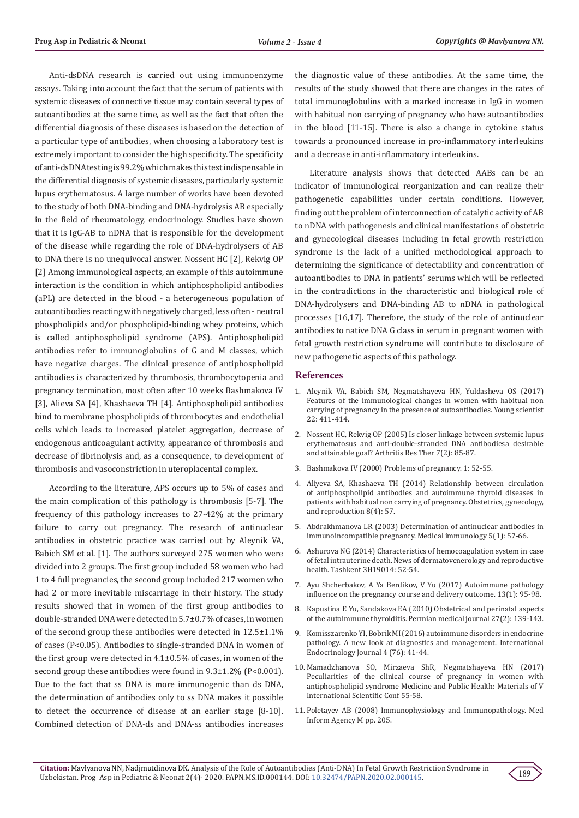Anti-dsDNA research is carried out using immunoenzyme assays. Taking into account the fact that the serum of patients with systemic diseases of connective tissue may contain several types of autoantibodies at the same time, as well as the fact that often the differential diagnosis of these diseases is based on the detection of a particular type of antibodies, when choosing a laboratory test is extremely important to consider the high specificity. The specificity of anti-dsDNA testing is 99.2% which makes this test indispensable in the differential diagnosis of systemic diseases, particularly systemic lupus erythematosus. A large number of works have been devoted to the study of both DNA-binding and DNA-hydrolysis AB especially in the field of rheumatology, endocrinology. Studies have shown that it is IgG-AB to nDNA that is responsible for the development of the disease while regarding the role of DNA-hydrolysers of AB to DNA there is no unequivocal answer. Nossent HC [2], Rekvig OP [2] Among immunological aspects, an example of this autoimmune interaction is the condition in which antiphospholipid antibodies (aPL) are detected in the blood - a heterogeneous population of autoantibodies reacting with negatively charged, less often - neutral phospholipids and/or phospholipid-binding whey proteins, which is called antiphospholipid syndrome (APS). Antiphospholipid antibodies refer to immunoglobulins of G and M classes, which have negative charges. The clinical presence of antiphospholipid antibodies is characterized by thrombosis, thrombocytopenia and pregnancy termination, most often after 10 weeks Bashmakova IV [3], Alieva SA [4], Khashaeva TH [4]. Antiphospholipid antibodies bind to membrane phospholipids of thrombocytes and endothelial cells which leads to increased platelet aggregation, decrease of endogenous anticoagulant activity, appearance of thrombosis and decrease of fibrinolysis and, as a consequence, to development of thrombosis and vasoconstriction in uteroplacental complex.

According to the literature, APS occurs up to 5% of cases and the main complication of this pathology is thrombosis [5-7]. The frequency of this pathology increases to 27-42% at the primary failure to carry out pregnancy. The research of antinuclear antibodies in obstetric practice was carried out by Aleynik VA, Babich SM et al. [1]. The authors surveyed 275 women who were divided into 2 groups. The first group included 58 women who had 1 to 4 full pregnancies, the second group included 217 women who had 2 or more inevitable miscarriage in their history. The study results showed that in women of the first group antibodies to double-stranded DNA were detected in 5.7±0.7% of cases, in women of the second group these antibodies were detected in 12.5±1.1% of cases (P<0.05). Antibodies to single-stranded DNA in women of the first group were detected in 4.1±0.5% of cases, in women of the second group these antibodies were found in 9.3±1.2% (P<0.001). Due to the fact that ss DNA is more immunogenic than ds DNA, the determination of antibodies only to ss DNA makes it possible to detect the occurrence of disease at an earlier stage [8-10]. Combined detection of DNA-ds and DNA-ss antibodies increases

the diagnostic value of these antibodies. At the same time, the results of the study showed that there are changes in the rates of total immunoglobulins with a marked increase in IgG in women with habitual non carrying of pregnancy who have autoantibodies in the blood [11-15]. There is also a change in cytokine status towards a pronounced increase in pro-inflammatory interleukins and a decrease in anti-inflammatory interleukins.

Literature analysis shows that detected AABs can be an indicator of immunological reorganization and can realize their pathogenetic capabilities under certain conditions. However, finding out the problem of interconnection of catalytic activity of AB to nDNA with pathogenesis and clinical manifestations of obstetric and gynecological diseases including in fetal growth restriction syndrome is the lack of a unified methodological approach to determining the significance of detectability and concentration of autoantibodies to DNA in patients' serums which will be reflected in the contradictions in the characteristic and biological role of DNA-hydrolysers and DNA-binding AB to nDNA in pathological processes [16,17]. Therefore, the study of the role of antinuclear antibodies to native DNA G class in serum in pregnant women with fetal growth restriction syndrome will contribute to disclosure of new pathogenetic aspects of this pathology.

## **References**

- 1. Aleynik VA, Babich SM, Negmatshayeva HN, Yuldasheva OS (2017) Features of the immunological changes in women with habitual non carrying of pregnancy in the presence of autoantibodies. Young scientist 22: 411-414.
- 2. Nossent HC, Rekvig OP (2005) Is closer linkage between systemic lupus erythematosus and anti-double-stranded DNA antibodiesa desirable and attainable goal? Arthritis Res Ther 7(2): 85-87.
- 3. Bashmakova IV (2000) Problems of pregnancy. 1: 52-55.
- 4. Aliyeva SA, Khashaeva TH (2014) Relationship between circulation of antiphospholipid antibodies and autoimmune thyroid diseases in patients with habitual non carrying of pregnancy. Obstetrics, gynecology, and reproduction 8(4): 57.
- 5. Abdrakhmanova LR (2003) Determination of antinuclear antibodies in immunoincompatible pregnancy. Medical immunology 5(1): 57-66.
- 6. Ashurova NG (2014) Characteristics of hemocoagulation system in case of fetal intrauterine death. News of dermatovenerology and reproductive health. Tashkent 3H19014: 52-54.
- 7. Ayu Shcherbakov, A Ya Berdikov, V Yu (2017) Autoimmune pathology influence on the pregnancy course and delivery outcome. 13(1): 95-98.
- 8. Kapustina E Yu, Sandakova EA (2010) Obstetrical and perinatal aspects of the autoimmune thyroiditis. Permian medical journal 27(2): 139-143.
- 9. Komisszarenko YI, Bobrik MI (2016) autoimmune disorders in endocrine pathology. A new look at diagnostics and management. International Endocrinology Journal 4 (76): 41-44.
- 10. Mamadzhanova SO, Mirzaeva ShR, Negmatshayeva HN (2017) Peculiarities of the clinical course of pregnancy in women with antiphospholipid syndrome Medicine and Public Health: Materials of V International Scientific Conf 55-58.
- 11. Poletayev AB (2008) Immunophysiology and Immunopathology. Med Inform Agency М pp. 205.